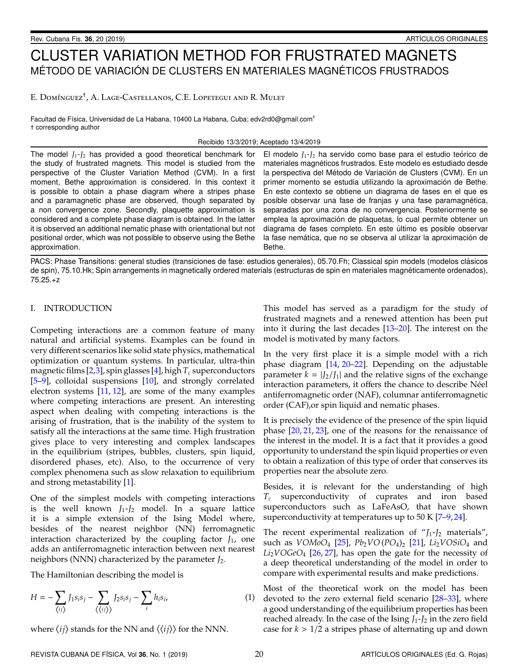# CLUSTER VARIATION METHOD FOR FRUSTRATED MAGNETS MÉTODO DE VARIACIÓN DE CLUSTERS EN MATERIALES MAGNÉTICOS FRUSTRADOS

E. Domínguez<sup>†</sup>, A. Lage-Castellanos, C.E. Lopetegui and R. Mulet

Facultad de Física, Universidad de La Habana, 10400 La Habana, Cuba; edv2rd0@gmail.com<sup>+</sup> † corresponding author

Recibido 13/3/2019; Aceptado 13/4/2019

The model *J*1-*J*<sup>2</sup> has provided a good theoretical benchmark for the study of frustrated magnets. This model is studied from the perspective of the Cluster Variation Method (CVM). In a first moment, Bethe approximation is considered. In this context it is possible to obtain a phase diagram where a stripes phase and a paramagnetic phase are observed, though separated by a non convergence zone. Secondly, plaquette approximation is considered and a complete phase diagram is obtained. In the latter it is observed an additional nematic phase with orientational but not positional order, which was not possible to observe using the Bethe approximation.

El modelo  $J_1$ - $J_2$  ha servido como base para el estudio teórico de materiales magnéticos frustrados. Este modelo es estudiado desde la perspectiva del Método de Variación de Clusters (CVM). En un primer momento se estudia utilizando la aproximación de Bethe. En este contexto se obtiene un diagrama de fases en el que es posible observar una fase de franjas y una fase paramagnética, separadas por una zona de no convergencia. Posteriormente se emplea la aproximación de plaquetas, lo cual permite obtener un diagrama de fases completo. En este último es posible observar la fase nemática, que no se observa al utilizar la aproximación de Bethe.

PACS: Phase Transitions: general studies (transiciones de fase: estudios generales), 05.70.Fh; Classical spin models (modelos clásicos de spin), 75.10.Hk; Spin arrangements in magnetically ordered materials (estructuras de spin en materiales magnéticamente ordenados), 75.25.+z

## I. INTRODUCTION

Competing interactions are a common feature of many natural and artificial systems. Examples can be found in very different scenarios like solid state physics, mathematical optimization or quantum systems. In particular, ultra-thin magnetic films  $[2,3]$  $[2,3]$ , spin glasses  $[4]$ , high  $T_c$  superconductors [\[5](#page-5-3)[–9\]](#page-5-4), colloidal suspensions [\[10\]](#page-5-5), and strongly correlated electron systems [\[11,](#page-5-6) [12\]](#page-5-7), are some of the many examples where competing interactions are present. An interesting aspect when dealing with competing interactions is the arising of frustration, that is the inability of the system to satisfy all the interactions at the same time. High frustration gives place to very interesting and complex landscapes in the equilibrium (stripes, bubbles, clusters, spin liquid, disordered phases, etc). Also, to the occurrence of very complex phenomena such as slow relaxation to equilibrium and strong metastability [\[1\]](#page-5-8).

One of the simplest models with competing interactions is the well known  $J_1-J_2$  model. In a square lattice it is a simple extension of the Ising Model where, besides of the nearest neighbor (NN) ferromagnetic interaction characterized by the coupling factor *J*1, one adds an antiferromagnetic interaction between next nearest neighbors (NNN) characterized by the parameter *J*2.

The Hamiltonian describing the model is

$$
H = -\sum_{\langle ij \rangle} I_1 s_i s_j - \sum_{\langle \langle ij \rangle \rangle} J_2 s_i s_j - \sum_i h_i s_i,
$$
 (1)

where  $\langle ij \rangle$  stands for the NN and  $\langle \langle ij \rangle \rangle$  for the NNN.

This model has served as a paradigm for the study of frustrated magnets and a renewed attention has been put into it during the last decades [\[13](#page-5-9)[–20\]](#page-5-10). The interest on the model is motivated by many factors.

In the very first place it is a simple model with a rich phase diagram [\[14,](#page-5-11) [20–](#page-5-10)[22\]](#page-5-12). Depending on the adjustable parameter  $k = |J_2/J_1|$  and the relative signs of the exchange interaction parameters, it offers the chance to describe Néel antiferromagnetic order (NAF), columnar antiferromagnetic order (CAF),or spin liquid and nematic phases.

It is precisely the evidence of the presence of the spin liquid phase [\[20,](#page-5-10) [21,](#page-5-13) [23\]](#page-5-14), one of the reasons for the renaissance of the interest in the model. It is a fact that it provides a good opportunity to understand the spin liquid properties or even to obtain a realization of this type of order that conserves its properties near the absolute zero.

Besides, it is relevant for the understanding of high *T<sup>c</sup>* superconductivity of cuprates and iron based superconductors such as LaFeAsO, that have shown superconductivity at temperatures up to  $50 K [7-9, 24]$  $50 K [7-9, 24]$  $50 K [7-9, 24]$  $50 K [7-9, 24]$ .

The recent experimental realization of "*J*1-*J*<sup>2</sup> materials", such as *VOMoO*<sup>4</sup> [\[25\]](#page-5-17), *Pb*2*VO* (*PO*4)<sup>2</sup> [\[21\]](#page-5-13), *Li*2*VOSiO*<sup>4</sup> and *Li*2*VOGeO*<sup>4</sup> [\[26,](#page-5-18) [27\]](#page-5-19), has open the gate for the necessity of a deep theoretical understanding of the model in order to compare with experimental results and make predictions.

Most of the theoretical work on the model has been devoted to the zero external field scenario [\[28](#page-5-20)[–33\]](#page-5-21), where a good understanding of the equilibrium properties has been reached already. In the case of the Ising *J*1-*J*<sup>2</sup> in the zero field case for  $k > 1/2$  a stripes phase of alternating up and down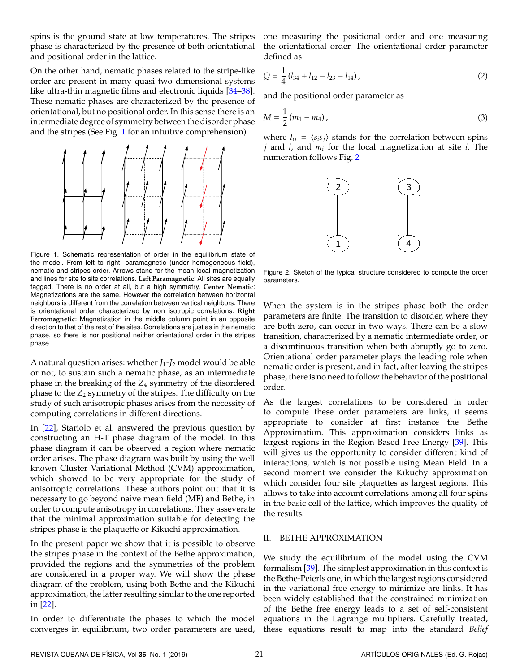spins is the ground state at low temperatures. The stripes phase is characterized by the presence of both orientational and positional order in the lattice.

On the other hand, nematic phases related to the stripe-like order are present in many quasi two dimensional systems like ultra-thin magnetic films and electronic liquids [\[34–](#page-5-22)[38\]](#page-5-23). These nematic phases are characterized by the presence of orientational, but no positional order. In this sense there is an intermediate degree of symmetry between the disorder phase and the stripes (See Fig. [1](#page-1-0) for an intuitive comprehension).

<span id="page-1-0"></span>

Figure 1. Schematic representation of order in the equilibrium state of the model. From left to right, paramagnetic (under homogeneous field), nematic and stripes order. Arrows stand for the mean local magnetization and lines for site to site correlations. **Left Paramagnetic**: All sites are equally tagged. There is no order at all, but a high symmetry. **Center Nematic**: Magnetizations are the same. However the correlation between horizontal neighbors is different from the correlation between vertical neighbors. There is orientational order characterized by non isotropic correlations. **Right Ferromagnetic**: Magnetization in the middle column point in an opposite direction to that of the rest of the sites. Correlations are just as in the nematic phase, so there is nor positional neither orientational order in the stripes phase.

A natural question arises: whether *J*1-*J*<sup>2</sup> model would be able or not, to sustain such a nematic phase, as an intermediate phase in the breaking of the *Z*<sup>4</sup> symmetry of the disordered phase to the  $Z_2$  symmetry of the stripes. The difficulty on the study of such anisotropic phases arises from the necessity of computing correlations in different directions.

In [\[22\]](#page-5-12), Stariolo et al. answered the previous question by constructing an H-T phase diagram of the model. In this phase diagram it can be observed a region where nematic order arises. The phase diagram was built by using the well known Cluster Variational Method (CVM) approximation, which showed to be very appropriate for the study of anisotropic correlations. These authors point out that it is necessary to go beyond naive mean field (MF) and Bethe, in order to compute anisotropy in correlations. They asseverate that the minimal approximation suitable for detecting the stripes phase is the plaquette or Kikuchi approximation.

In the present paper we show that it is possible to observe the stripes phase in the context of the Bethe approximation, provided the regions and the symmetries of the problem are considered in a proper way. We will show the phase diagram of the problem, using both Bethe and the Kikuchi approximation, the latter resulting similar to the one reported in [\[22\]](#page-5-12).

In order to differentiate the phases to which the model converges in equilibrium, two order parameters are used, one measuring the positional order and one measuring the orientational order. The orientational order parameter defined as

$$
Q = \frac{1}{4} (l_{34} + l_{12} - l_{23} - l_{14}),
$$
 (2)

and the positional order parameter as

$$
M = \frac{1}{2} (m_1 - m_4),
$$
 (3)

<span id="page-1-1"></span>where  $l_{ij} = \langle s_i s_j \rangle$  stands for the correlation between spins *j* and *i*, and *m<sup>i</sup>* for the local magnetization at site *i*. The numeration follows Fig. [2](#page-1-1)



Figure 2. Sketch of the typical structure considered to compute the order parameters.

When the system is in the stripes phase both the order parameters are finite. The transition to disorder, where they are both zero, can occur in two ways. There can be a slow transition, characterized by a nematic intermediate order, or a discontinuous transition when both abruptly go to zero. Orientational order parameter plays the leading role when nematic order is present, and in fact, after leaving the stripes phase, there is no need to follow the behavior of the positional order.

As the largest correlations to be considered in order to compute these order parameters are links, it seems appropriate to consider at first instance the Bethe Approximation. This approximation considers links as largest regions in the Region Based Free Energy [\[39\]](#page-6-0). This will gives us the opportunity to consider different kind of interactions, which is not possible using Mean Field. In a second moment we consider the Kikuchy approximation which consider four site plaquettes as largest regions. This allows to take into account correlations among all four spins in the basic cell of the lattice, which improves the quality of the results.

## II. BETHE APPROXIMATION

We study the equilibrium of the model using the CVM formalism [\[39\]](#page-6-0). The simplest approximation in this context is the Bethe-Peierls one, in which the largest regions considered in the variational free energy to minimize are links. It has been widely established that the constrained minimization of the Bethe free energy leads to a set of self-consistent equations in the Lagrange multipliers. Carefully treated, these equations result to map into the standard *Belief*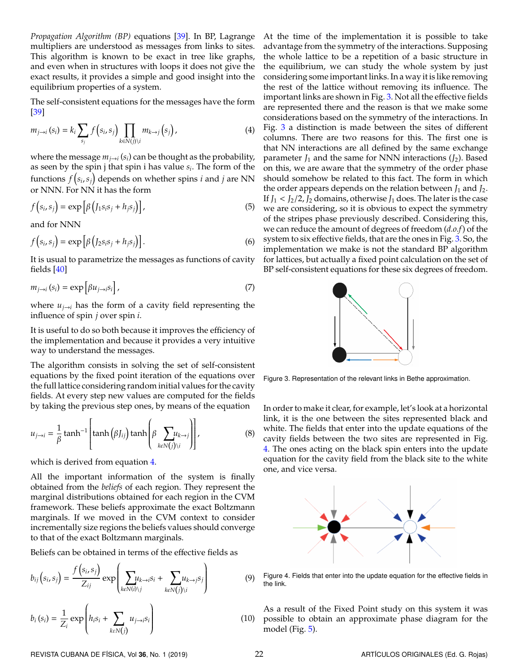*Propagation Algorithm (BP)* equations [\[39\]](#page-6-0). In BP, Lagrange multipliers are understood as messages from links to sites. This algorithm is known to be exact in tree like graphs, and even when in structures with loops it does not give the exact results, it provides a simple and good insight into the equilibrium properties of a system.

<span id="page-2-0"></span>The self-consistent equations for the messages have the form [\[39\]](#page-6-0)

$$
m_{j \to i}(s_i) = k_i \sum_{s_j} f(s_i, s_j) \prod_{k \in N(j) \setminus i} m_{k \to j}(s_j), \qquad (4)
$$

where the message  $m_{j \rightarrow i}\left(s_{i}\right)$  can be thought as the probability, as seen by the spin j that spin i has value *s<sup>i</sup>* . The form of the functions  $f\left(s_{i}, s_{j}\right)$  depends on whether spins  $i$  and  $j$  are NN or NNN. For NN it has the form

$$
f(s_i, s_j) = \exp\left[\beta\left(J_1s_i s_j + h_j s_j\right)\right],\tag{5}
$$

and for NNN

$$
f(s_i, s_j) = \exp\left[\beta\left(J_2s_i s_j + h_j s_j\right)\right].
$$
 (6)

<span id="page-2-3"></span>It is usual to parametrize the messages as functions of cavity fields [\[40\]](#page-6-1)

$$
m_{j \to i}(s_i) = \exp\left[\beta u_{j \to i} s_i\right],\tag{7}
$$

where  $u_{i\rightarrow i}$  has the form of a cavity field representing the influence of spin *j* over spin *i*.

It is useful to do so both because it improves the efficiency of the implementation and because it provides a very intuitive way to understand the messages.

The algorithm consists in solving the set of self-consistent equations by the fixed point iteration of the equations over the full lattice considering random initial values for the cavity fields. At every step new values are computed for the fields by taking the previous step ones, by means of the equation

$$
u_{j \to i} = \frac{1}{\beta} \tanh^{-1} \left[ \tanh \left( \beta J_{ij} \right) \tanh \left( \beta \sum_{k \in N(j) \setminus i} u_{k \to j} \right) \right],
$$
 (8)

which is derived from equation [4.](#page-2-0)

All the important information of the system is finally obtained from the *beliefs* of each region. They represent the marginal distributions obtained for each region in the CVM framework. These beliefs approximate the exact Boltzmann marginals. If we moved in the CVM context to consider incrementally size regions the beliefs values should converge to that of the exact Boltzmann marginals.

Beliefs can be obtained in terms of the effective fields as

$$
b_{ij}(s_i, s_j) = \frac{f(s_i, s_j)}{Z_{ij}} \exp\left(\sum_{k \in N(i) \setminus j} u_{k \to i} s_i + \sum_{k \in N(j) \setminus i} u_{k \to j} s_j\right)
$$
(9)

$$
b_i(s_i) = \frac{1}{Z_i} \exp\left(h_i s_i + \sum_{k \in N(j)} u_{j \to i} s_i\right)
$$
 (10)

At the time of the implementation it is possible to take advantage from the symmetry of the interactions. Supposing the whole lattice to be a repetition of a basic structure in the equilibrium, we can study the whole system by just considering some important links. In a way it is like removing the rest of the lattice without removing its influence. The important links are shown in Fig. [3.](#page-2-1) Not all the effective fields are represented there and the reason is that we make some considerations based on the symmetry of the interactions. In Fig. [3](#page-2-1) a distinction is made between the sites of different columns. There are two reasons for this. The first one is that NN interactions are all defined by the same exchange parameter  $J_1$  and the same for NNN interactions  $(J_2)$ . Based on this, we are aware that the symmetry of the order phase should somehow be related to this fact. The form in which the order appears depends on the relation between  $J_1$  and  $J_2$ . If  $J_1 < J_2/2$ ,  $J_2$  domains, otherwise  $J_1$  does. The later is the case we are considering, so it is obvious to expect the symmetry of the stripes phase previously described. Considering this, we can reduce the amount of degrees of freedom (*d.o.f*) of the system to six effective fields, that are the ones in Fig. [3.](#page-2-1) So, the implementation we make is not the standard BP algorithm for lattices, but actually a fixed point calculation on the set of BP self-consistent equations for these six degrees of freedom.

<span id="page-2-1"></span>

Figure 3. Representation of the relevant links in Bethe approximation.

In order to make it clear, for example, let's look at a horizontal link, it is the one between the sites represented black and white. The fields that enter into the update equations of the cavity fields between the two sites are represented in Fig. [4.](#page-2-2) The ones acting on the black spin enters into the update equation for the cavity field from the black site to the white one, and vice versa.

<span id="page-2-2"></span>

Figure 4. Fields that enter into the update equation for the effective fields in the link.

(10) possible to obtain an approximate phase diagram for the As a result of the Fixed Point study on this system it was model (Fig. [5\)](#page-3-0).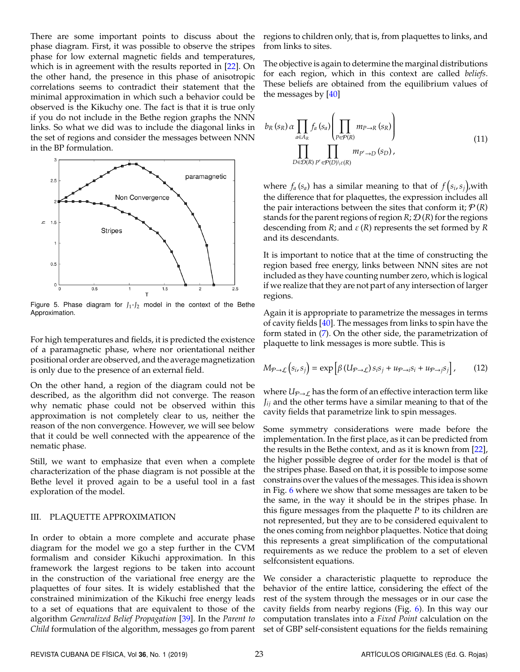There are some important points to discuss about the phase diagram. First, it was possible to observe the stripes phase for low external magnetic fields and temperatures, which is in agreement with the results reported in [\[22\]](#page-5-12). On the other hand, the presence in this phase of anisotropic correlations seems to contradict their statement that the minimal approximation in which such a behavior could be observed is the Kikuchy one. The fact is that it is true only if you do not include in the Bethe region graphs the NNN links. So what we did was to include the diagonal links in the set of regions and consider the messages between NNN in the BP formulation.

<span id="page-3-0"></span>

Figure 5. Phase diagram for  $J_1-J_2$  model in the context of the Bethe Approximation.

For high temperatures and fields, it is predicted the existence of a paramagnetic phase, where nor orientational neither positional order are observed, and the average magnetization is only due to the presence of an external field.

On the other hand, a region of the diagram could not be described, as the algorithm did not converge. The reason why nematic phase could not be observed within this approximation is not completely clear to us, neither the reason of the non convergence. However, we will see below that it could be well connected with the appearence of the nematic phase.

Still, we want to emphasize that even when a complete characterization of the phase diagram is not possible at the Bethe level it proved again to be a useful tool in a fast exploration of the model.

### III. PLAQUETTE APPROXIMATION

In order to obtain a more complete and accurate phase diagram for the model we go a step further in the CVM formalism and consider Kikuchi approximation. In this framework the largest regions to be taken into account in the construction of the variational free energy are the plaquettes of four sites. It is widely established that the constrained minimization of the Kikuchi free energy leads to a set of equations that are equivalent to those of the algorithm *Generalized Belief Propagation* [\[39\]](#page-6-0). In the *Parent to Child* formulation of the algorithm, messages go from parent regions to children only, that is, from plaquettes to links, and from links to sites.

The objective is again to determine the marginal distributions for each region, which in this context are called *beliefs*. These beliefs are obtained from the equilibrium values of the messages by [\[40\]](#page-6-1)

$$
b_R(s_R) \alpha \prod_{a \in A_R} f_a(s_a) \left( \prod_{P \in \mathcal{P}(R)} m_{P \to R}(s_R) \right)
$$
  

$$
\prod_{D \in \mathcal{D}(R)} \prod_{P' \in \mathcal{P}(D) \setminus \varepsilon(R)} m_{P' \to D}(s_D),
$$
 (11)

where  $f_a(s_a)$  has a similar meaning to that of  $f(s_i, s_j)$ , with the difference that for plaquettes, the expression includes all the pair interactions between the sites that conform it;  $P(R)$ stands for the parent regions of region  $R$ ;  $\mathcal{D}(R)$  for the regions descending from *R*; and ε (*R*) represents the set formed by *R* and its descendants.

It is important to notice that at the time of constructing the region based free energy, links between NNN sites are not included as they have counting number zero, which is logical if we realize that they are not part of any intersection of larger regions.

Again it is appropriate to parametrize the messages in terms of cavity fields [\[40\]](#page-6-1). The messages from links to spin have the form stated in [\(7\)](#page-2-3). On the other side, the parametrization of plaquette to link messages is more subtle. This is

$$
M_{\mathcal{P}\rightarrow\mathcal{L}}(s_i,s_j) = \exp\left[\beta\left(U_{\mathcal{P}\rightarrow\mathcal{L}}\right)s_i s_j + u_{\mathcal{P}\rightarrow i} s_i + u_{\mathcal{P}\rightarrow j} s_j\right],\qquad(12)
$$

where  $U_{P\rightarrow L}$  has the form of an effective interaction term like *Jij* and the other terms have a similar meaning to that of the cavity fields that parametrize link to spin messages.

Some symmetry considerations were made before the implementation. In the first place, as it can be predicted from the results in the Bethe context, and as it is known from [\[22\]](#page-5-12), the higher possible degree of order for the model is that of the stripes phase. Based on that, it is possible to impose some constrains over the values of the messages. This idea is shown in Fig. [6](#page-4-0) where we show that some messages are taken to be the same, in the way it should be in the stripes phase. In this figure messages from the plaquette *P* to its children are not represented, but they are to be considered equivalent to the ones coming from neighbor plaquettes. Notice that doing this represents a great simplification of the computational requirements as we reduce the problem to a set of eleven selfconsistent equations.

We consider a characteristic plaquette to reproduce the behavior of the entire lattice, considering the effect of the rest of the system through the messages or in our case the cavity fields from nearby regions (Fig. [6\)](#page-4-0). In this way our computation translates into a *Fixed Point* calculation on the set of GBP self-consistent equations for the fields remaining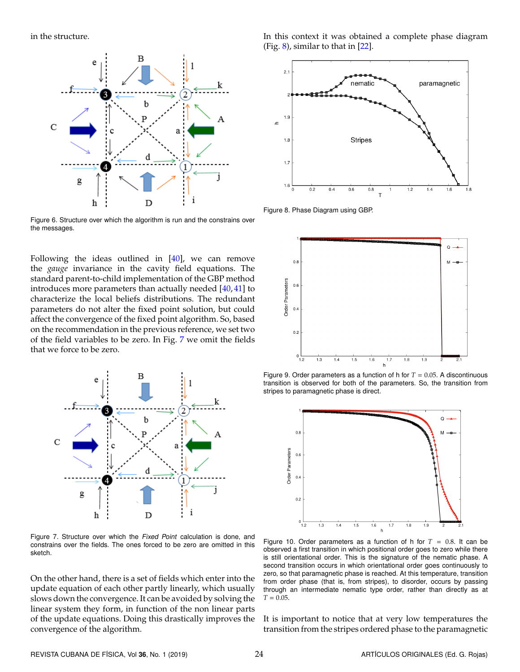<span id="page-4-0"></span>in the structure.



Figure 6. Structure over which the algorithm is run and the constrains over the messages.

Following the ideas outlined in [\[40\]](#page-6-1), we can remove the *gauge* invariance in the cavity field equations. The standard parent-to-child implementation of the GBP method introduces more parameters than actually needed [\[40,](#page-6-1) [41\]](#page-6-2) to characterize the local beliefs distributions. The redundant parameters do not alter the fixed point solution, but could affect the convergence of the fixed point algorithm. So, based on the recommendation in the previous reference, we set two of the field variables to be zero. In Fig. [7](#page-4-1) we omit the fields that we force to be zero.

<span id="page-4-1"></span>

Figure 7. Structure over which the Fixed Point calculation is done, and constrains over the fields. The ones forced to be zero are omitted in this sketch.

On the other hand, there is a set of fields which enter into the update equation of each other partly linearly, which usually slows down the convergence. It can be avoided by solving the linear system they form, in function of the non linear parts of the update equations. Doing this drastically improves the convergence of the algorithm.

In this context it was obtained a complete phase diagram (Fig.  $8$ ), similar to that in [\[22\]](#page-5-12).

<span id="page-4-2"></span>

Figure 8. Phase Diagram using GBP.

<span id="page-4-3"></span>

<span id="page-4-4"></span>Figure 9. Order parameters as a function of h for  $T = 0.05$ . A discontinuous transition is observed for both of the parameters. So, the transition from stripes to paramagnetic phase is direct.



Figure 10. Order parameters as a function of h for  $T = 0.8$ . It can be observed a first transition in which positional order goes to zero while there is still orientational order. This is the signature of the nematic phase. A second transition occurs in which orientational order goes continuously to zero, so that paramagnetic phase is reached. At this temperature, transition from order phase (that is, from stripes), to disorder, occurs by passing through an intermediate nematic type order, rather than directly as at  $T = 0.05$ .

It is important to notice that at very low temperatures the transition from the stripes ordered phase to the paramagnetic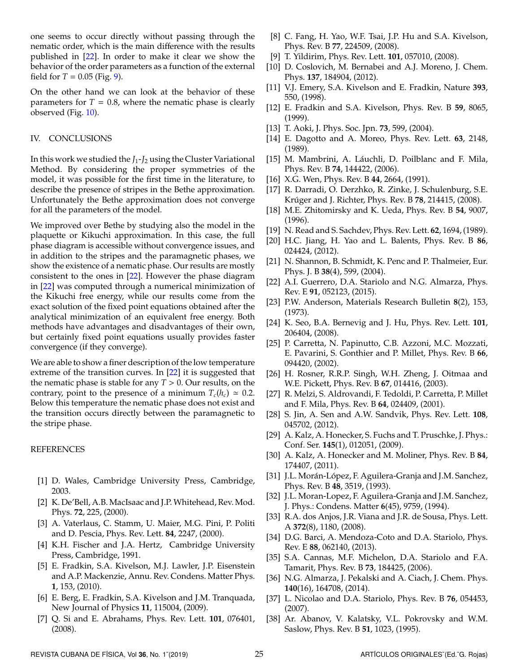one seems to occur directly without passing through the nematic order, which is the main difference with the results published in [\[22\]](#page-5-12). In order to make it clear we show the behavior of the order parameters as a function of the external field for  $T = 0.05$  (Fig. [9\)](#page-4-3).

On the other hand we can look at the behavior of these parameters for  $T = 0.8$ , where the nematic phase is clearly observed (Fig. [10\)](#page-4-4).

## IV. CONCLUSIONS

In this work we studied the *J*1-*J*<sup>2</sup> using the Cluster Variational Method. By considering the proper symmetries of the model, it was possible for the first time in the literature, to describe the presence of stripes in the Bethe approximation. Unfortunately the Bethe approximation does not converge for all the parameters of the model.

We improved over Bethe by studying also the model in the plaquette or Kikuchi approximation. In this case, the full phase diagram is accessible without convergence issues, and in addition to the stripes and the paramagnetic phases, we show the existence of a nematic phase. Our results are mostly consistent to the ones in [\[22\]](#page-5-12). However the phase diagram in [\[22\]](#page-5-12) was computed through a numerical minimization of the Kikuchi free energy, while our results come from the exact solution of the fixed point equations obtained after the analytical minimization of an equivalent free energy. Both methods have advantages and disadvantages of their own, but certainly fixed point equations usually provides faster convergence (if they converge).

We are able to show a finer description of the low temperature extreme of the transition curves. In [\[22\]](#page-5-12) it is suggested that the nematic phase is stable for any *T* > 0. Our results, on the contrary, point to the presence of a minimum  $T_c(h_c) \approx 0.2$ . Below this temperature the nematic phase does not exist and the transition occurs directly between the paramagnetic to the stripe phase.

#### REFERENCES

- <span id="page-5-8"></span>[1] D. Wales, Cambridge University Press, Cambridge, 2003.
- <span id="page-5-0"></span>[2] K. De'Bell, A.B. MacIsaac and J.P.Whitehead, Rev. Mod. Phys. **72**, 225, (2000).
- <span id="page-5-1"></span>[3] A. Vaterlaus, C. Stamm, U. Maier, M.G. Pini, P. Politi and D. Pescia, Phys. Rev. Lett. **84**, 2247, (2000).
- <span id="page-5-2"></span>[4] K.H. Fischer and J.A. Hertz, Cambridge University Press, Cambridge, 1991.
- <span id="page-5-3"></span>[5] E. Fradkin, S.A. Kivelson, M.J. Lawler, J.P. Eisenstein and A.P. Mackenzie, Annu. Rev. Condens. Matter Phys. **1**, 153, (2010).
- [6] E. Berg, E. Fradkin, S.A. Kivelson and J.M. Tranquada, New Journal of Physics **11**, 115004, (2009).
- <span id="page-5-15"></span>[7] Q. Si and E. Abrahams, Phys. Rev. Lett. **101**, 076401, (2008).
- [8] C. Fang, H. Yao, W.F. Tsai, J.P. Hu and S.A. Kivelson, Phys. Rev. B **77**, 224509, (2008).
- <span id="page-5-4"></span>[9] T. Yildirim, Phys. Rev. Lett. **101**, 057010, (2008).
- <span id="page-5-5"></span>[10] D. Coslovich, M. Bernabei and A.J. Moreno, J. Chem. Phys. **137**, 184904, (2012).
- <span id="page-5-6"></span>[11] V.J. Emery, S.A. Kivelson and E. Fradkin, Nature **393**, 550, (1998).
- <span id="page-5-7"></span>[12] E. Fradkin and S.A. Kivelson, Phys. Rev. B **59**, 8065, (1999).
- <span id="page-5-9"></span>[13] T. Aoki, J. Phys. Soc. Jpn. **73**, 599, (2004).
- <span id="page-5-11"></span>[14] E. Dagotto and A. Moreo, Phys. Rev. Lett. **63**, 2148, (1989).
- [15] M. Mambrini, A. Láuchli, D. Poilblanc and F. Mila, Phys. Rev. B **74**, 144422, (2006).
- [16] X.G. Wen, Phys. Rev. B **44**, 2664, (1991).
- [17] R. Darradi, O. Derzhko, R. Zinke, J. Schulenburg, S.E. Krúger and J. Richter, Phys. Rev. B 78, 214415, (2008).
- [18] M.E. Zhitomirsky and K. Ueda, Phys. Rev. B **54**, 9007, (1996).
- [19] N. Read and S. Sachdev, Phys. Rev. Lett. **62**, 1694, (1989).
- <span id="page-5-10"></span>[20] H.C. Jiang, H. Yao and L. Balents, Phys. Rev. B **86**, 024424, (2012).
- <span id="page-5-13"></span>[21] N. Shannon, B. Schmidt, K. Penc and P. Thalmeier, Eur. Phys. J. B **38**(4), 599, (2004).
- <span id="page-5-12"></span>[22] A.I. Guerrero, D.A. Stariolo and N.G. Almarza, Phys. Rev. E **91**, 052123, (2015).
- <span id="page-5-14"></span>[23] P.W. Anderson, Materials Research Bulletin **8**(2), 153, (1973).
- <span id="page-5-16"></span>[24] K. Seo, B.A. Bernevig and J. Hu, Phys. Rev. Lett. **101**, 206404, (2008).
- <span id="page-5-17"></span>[25] P. Carretta, N. Papinutto, C.B. Azzoni, M.C. Mozzati, E. Pavarini, S. Gonthier and P. Millet, Phys. Rev. B **66**, 094420, (2002).
- <span id="page-5-18"></span>[26] H. Rosner, R.R.P. Singh, W.H. Zheng, J. Oitmaa and W.E. Pickett, Phys. Rev. B **67**, 014416, (2003).
- <span id="page-5-19"></span>[27] R. Melzi, S. Aldrovandi, F. Tedoldi, P. Carretta, P. Millet and F. Mila, Phys. Rev. B **64**, 024409, (2001).
- <span id="page-5-20"></span>[28] S. Jin, A. Sen and A.W. Sandvik, Phys. Rev. Lett. **108**, 045702, (2012).
- [29] A. Kalz, A. Honecker, S. Fuchs and T. Pruschke, J. Phys.: Conf. Ser. **145**(1), 012051, (2009).
- [30] A. Kalz, A. Honecker and M. Moliner, Phys. Rev. B **84**, 174407, (2011).
- [31] J.L. Morán-López, F. Aguilera-Granja and J.M. Sanchez, Phys. Rev. B **48**, 3519, (1993).
- [32] J.L. Moran-Lopez, F. Aguilera-Granja and J.M. Sanchez, J. Phys.: Condens. Matter **6**(45), 9759, (1994).
- <span id="page-5-21"></span>[33] R.A. dos Anjos, J.R. Viana and J.R. de Sousa, Phys. Lett. A **372**(8), 1180, (2008).
- <span id="page-5-22"></span>[34] D.G. Barci, A. Mendoza-Coto and D.A. Stariolo, Phys. Rev. E **88**, 062140, (2013).
- [35] S.A. Cannas, M.F. Michelon, D.A. Stariolo and F.A. Tamarit, Phys. Rev. B **73**, 184425, (2006).
- [36] N.G. Almarza, J. Pekalski and A. Ciach, J. Chem. Phys. **140**(16), 164708, (2014).
- [37] L. Nicolao and D.A. Stariolo, Phys. Rev. B **76**, 054453, (2007).
- <span id="page-5-23"></span>[38] Ar. Abanov, V. Kalatsky, V.L. Pokrovsky and W.M. Saslow, Phys. Rev. B **51**, 1023, (1995).